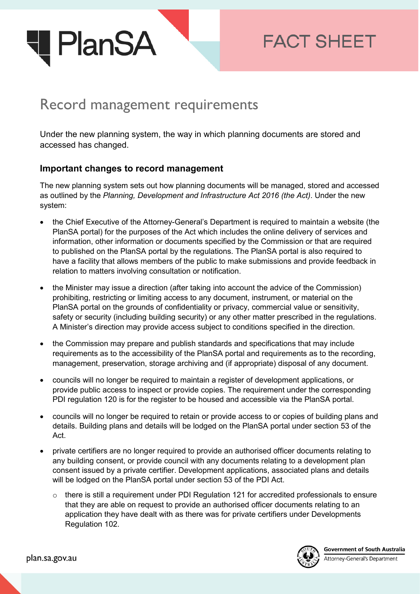

## **FACT SHEET**

## Record management requirements

Under the new planning system, the way in which planning documents are stored and accessed has changed.

## **Important changes to record management**

The new planning system sets out how planning documents will be managed, stored and accessed as outlined by the *Planning, Development and Infrastructure Act 2016 (the Act)*. Under the new system:

- the Chief Executive of the Attorney-General's Department is required to maintain a website (the PlanSA portal) for the purposes of the Act which includes the online delivery of services and information, other information or documents specified by the Commission or that are required to published on the PlanSA portal by the regulations. The PlanSA portal is also required to have a facility that allows members of the public to make submissions and provide feedback in relation to matters involving consultation or notification.
- the Minister may issue a direction (after taking into account the advice of the Commission) prohibiting, restricting or limiting access to any document, instrument, or material on the PlanSA portal on the grounds of confidentiality or privacy, commercial value or sensitivity, safety or security (including building security) or any other matter prescribed in the regulations. A Minister's direction may provide access subject to conditions specified in the direction.
- the Commission may prepare and publish standards and specifications that may include requirements as to the accessibility of the PlanSA portal and requirements as to the recording, management, preservation, storage archiving and (if appropriate) disposal of any document.
- councils will no longer be required to maintain a register of development applications, or provide public access to inspect or provide copies. The requirement under the corresponding PDI regulation 120 is for the register to be housed and accessible via the PlanSA portal.
- councils will no longer be required to retain or provide access to or copies of building plans and details. Building plans and details will be lodged on the PlanSA portal under section 53 of the Act.
- private certifiers are no longer required to provide an authorised officer documents relating to any building consent, or provide council with any documents relating to a development plan consent issued by a private certifier. Development applications, associated plans and details will be lodged on the PlanSA portal under section 53 of the PDI Act.
	- $\circ$  there is still a requirement under PDI Regulation 121 for accredited professionals to ensure that they are able on request to provide an authorised officer documents relating to an application they have dealt with as there was for private certifiers under Developments Regulation 102.